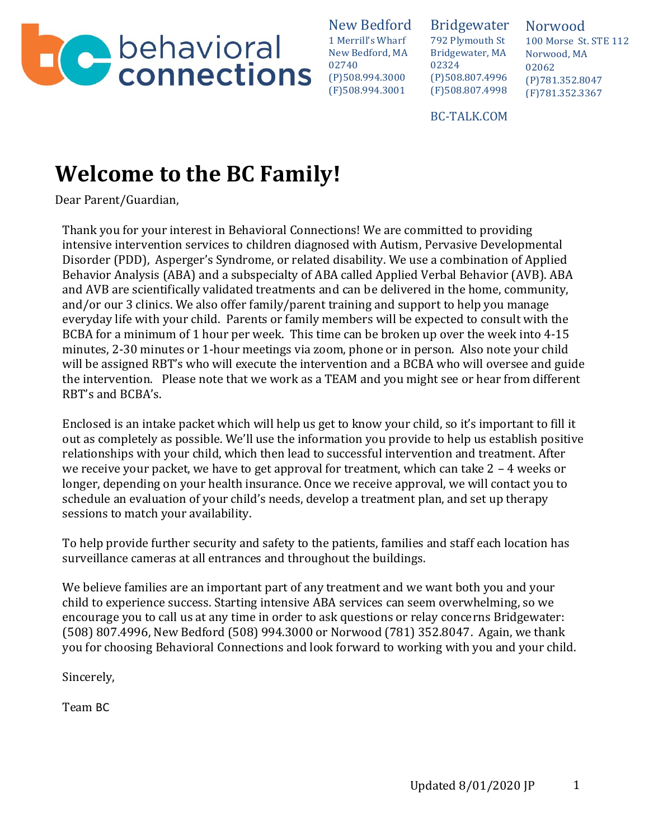

Bridgewater 792 Plymouth St Bridgewater, MA 02324 (P)508.807.4996 (F)508.807.4998

Norwood 100 Morse St. STE 112 Norwood, MA 02062 (P)781.352.8047 (F)781.352.3367

BC-TALK.COM

# **Welcome to the BC Family!**

Dear Parent/Guardian,

Thank you for your interest in Behavioral Connections! We are committed to providing intensive intervention services to children diagnosed with Autism, Pervasive Developmental Disorder (PDD), Asperger's Syndrome, or related disability. We use a combination of Applied Behavior Analysis (ABA) and a subspecialty of ABA called Applied Verbal Behavior (AVB). ABA and AVB are scientifically validated treatments and can be delivered in the home, community, and/or our 3 clinics. We also offer family/parent training and support to help you manage everyday life with your child. Parents or family members will be expected to consult with the BCBA for a minimum of 1 hour per week. This time can be broken up over the week into 4-15 minutes, 2-30 minutes or 1-hour meetings via zoom, phone or in person. Also note your child will be assigned RBT's who will execute the intervention and a BCBA who will oversee and guide the intervention. Please note that we work as a TEAM and you might see or hear from different RBT's and BCBA's.

Enclosed is an intake packet which will help us get to know your child, so it's important to fill it out as completely as possible. We'll use the information you provide to help us establish positive relationships with your child, which then lead to successful intervention and treatment. After we receive your packet, we have to get approval for treatment, which can take 2 – 4 weeks or longer, depending on your health insurance. Once we receive approval, we will contact you to schedule an evaluation of your child's needs, develop a treatment plan, and set up therapy sessions to match your availability.

To help provide further security and safety to the patients, families and staff each location has surveillance cameras at all entrances and throughout the buildings.

We believe families are an important part of any treatment and we want both you and your child to experience success. Starting intensive ABA services can seem overwhelming, so we encourage you to call us at any time in order to ask questions or relay concerns Bridgewater: (508) 807.4996, New Bedford (508) 994.3000 or Norwood (781) 352.8047. Again, we thank you for choosing Behavioral Connections and look forward to working with you and your child.

Sincerely,

Team BC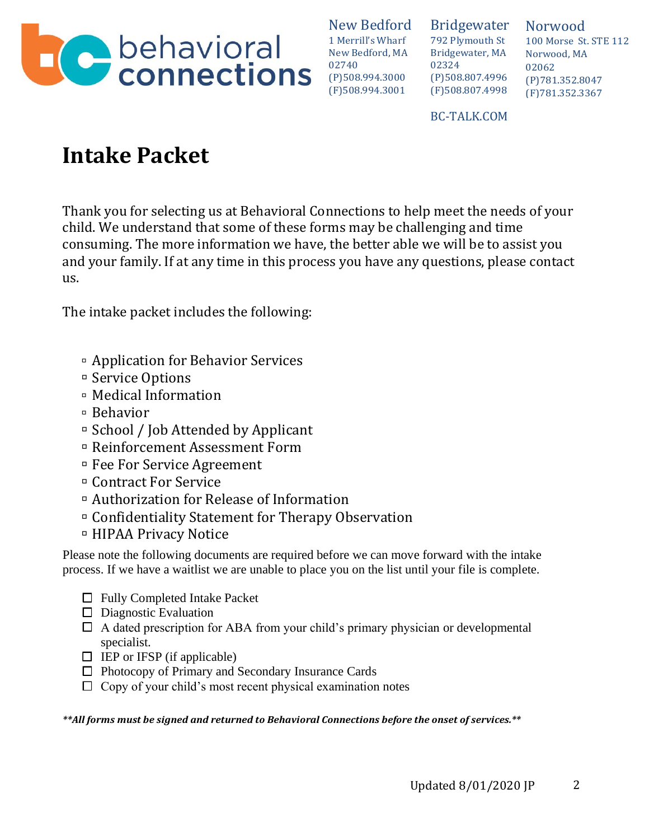

Bridgewater 792 Plymouth St Bridgewater, MA 02324 (P)508.807.4996 (F)508.807.4998

Norwood 100 Morse St. STE 112 Norwood, MA 02062 (P)781.352.8047 (F)781.352.3367

BC-TALK.COM

# **Intake Packet**

Thank you for selecting us at Behavioral Connections to help meet the needs of your child. We understand that some of these forms may be challenging and time consuming. The more information we have, the better able we will be to assist you and your family. If at any time in this process you have any questions, please contact us.

The intake packet includes the following:

- Application for Behavior Services
- Service Options
- Medical Information
- Behavior
- $\Box$  School / Job Attended by Applicant
- Reinforcement Assessment Form
- Fee For Service Agreement
- Contract For Service
- Authorization for Release of Information
- Confidentiality Statement for Therapy Observation
- HIPAA Privacy Notice

Please note the following documents are required before we can move forward with the intake process. If we have a waitlist we are unable to place you on the list until your file is complete.

- $\Box$  Fully Completed Intake Packet
- $\Box$  Diagnostic Evaluation
- $\Box$  A dated prescription for ABA from your child's primary physician or developmental specialist.
- $\Box$  IEP or IFSP (if applicable)
- Photocopy of Primary and Secondary Insurance Cards
- $\Box$  Copy of your child's most recent physical examination notes

*\*\*All forms must be signed and returned to Behavioral Connections before the onset of services.\*\**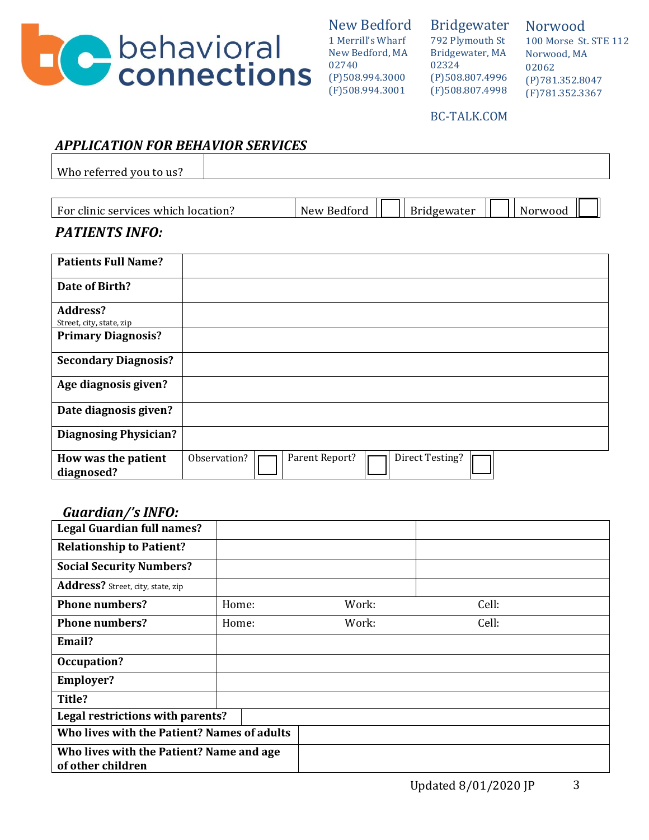

Bridgewater 792 Plymouth St Bridgewater, MA 02324 (P)508.807.4996 (F)508.807.4998

Norwood 100 Morse St. STE 112 Norwood, MA 02062 (P)781.352.8047 (F)781.352.3367

#### BC-TALK.COM

## *APPLICATION FOR BEHAVIOR SERVICES*

Who referred you to us?

| For<br>' clinic services which !<br>location: | New<br>Bedford | idgewater | Norwood |  |
|-----------------------------------------------|----------------|-----------|---------|--|
|                                               |                |           |         |  |

### *PATIENTS INFO:*

| <b>Patients Full Name?</b>                  |                                                   |
|---------------------------------------------|---------------------------------------------------|
| Date of Birth?                              |                                                   |
| <b>Address?</b><br>Street, city, state, zip |                                                   |
| <b>Primary Diagnosis?</b>                   |                                                   |
| <b>Secondary Diagnosis?</b>                 |                                                   |
| Age diagnosis given?                        |                                                   |
| Date diagnosis given?                       |                                                   |
| <b>Diagnosing Physician?</b>                |                                                   |
| How was the patient<br>diagnosed?           | Direct Testing?<br>Parent Report?<br>Observation? |

#### *Guardian/'s INFO:*

| <b>Legal Guardian full names?</b>                             |       |       |       |  |  |  |
|---------------------------------------------------------------|-------|-------|-------|--|--|--|
| <b>Relationship to Patient?</b>                               |       |       |       |  |  |  |
| <b>Social Security Numbers?</b>                               |       |       |       |  |  |  |
| Address? Street, city, state, zip                             |       |       |       |  |  |  |
| <b>Phone numbers?</b>                                         | Home: | Work: | Cell: |  |  |  |
| <b>Phone numbers?</b>                                         | Home: | Work: | Cell: |  |  |  |
| Email?                                                        |       |       |       |  |  |  |
| Occupation?                                                   |       |       |       |  |  |  |
| <b>Employer?</b>                                              |       |       |       |  |  |  |
| Title?                                                        |       |       |       |  |  |  |
| Legal restrictions with parents?                              |       |       |       |  |  |  |
| Who lives with the Patient? Names of adults                   |       |       |       |  |  |  |
| Who lives with the Patient? Name and age<br>of other children |       |       |       |  |  |  |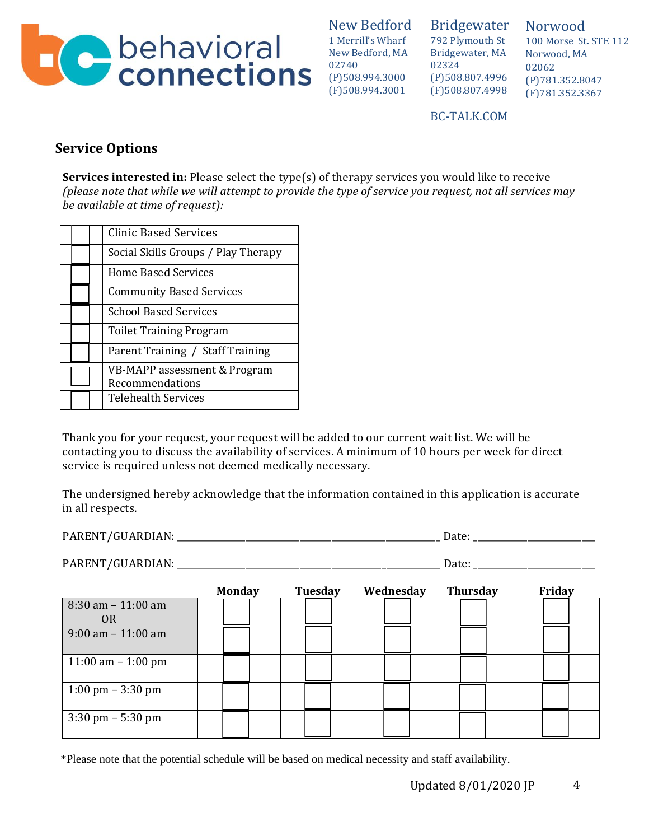

Bridgewater 792 Plymouth St Bridgewater, MA 02324 (P)508.807.4996 (F)508.807.4998

Norwood 100 Morse St. STE 112 Norwood, MA 02062 (P)781.352.8047 (F)781.352.3367

BC-TALK.COM

# **Service Options**

**Services interested in:** Please select the type(s) of therapy services you would like to receive *(please note that while we will attempt to provide the type of service you request, not all services may be available at time of request):*

|  | <b>Clinic Based Services</b>                    |
|--|-------------------------------------------------|
|  | Social Skills Groups / Play Therapy             |
|  | Home Based Services                             |
|  | <b>Community Based Services</b>                 |
|  | <b>School Based Services</b>                    |
|  | <b>Toilet Training Program</b>                  |
|  | Parent Training / Staff Training                |
|  | VB-MAPP assessment & Program<br>Recommendations |
|  | Telehealth Services                             |

Thank you for your request, your request will be added to our current wait list. We will be contacting you to discuss the availability of services. A minimum of 10 hours per week for direct service is required unless not deemed medically necessary.

The undersigned hereby acknowledge that the information contained in this application is accurate in all respects.

PARENT/GUARDIAN: \_\_\_\_\_\_\_\_\_\_\_\_\_\_\_\_\_\_\_\_\_\_\_\_\_\_\_\_\_\_\_\_\_\_\_\_\_\_\_\_\_\_\_\_\_\_\_\_\_\_\_\_\_\_\_\_\_\_ Date: \_\_\_\_\_\_\_\_\_\_\_\_\_\_\_\_\_\_\_\_\_\_\_\_\_\_\_

PARENT/GUARDIAN: \_\_\_\_\_\_\_\_\_\_\_\_\_\_\_\_\_\_\_\_\_\_\_\_\_\_\_\_\_\_\_\_\_\_\_\_\_\_\_\_\_\_\_\_\_\_\_\_\_\_\_\_\_\_\_\_\_\_ Date:\_\_\_\_\_\_\_\_\_\_\_\_\_\_\_\_\_\_\_\_\_\_\_\_\_\_\_

|                                         | <b>Monday</b> |  | Tuesday |  | Wednesday |  | <b>Thursday</b> |  | Friday |  |
|-----------------------------------------|---------------|--|---------|--|-----------|--|-----------------|--|--------|--|
| $8:30$ am $-11:00$ am<br>0 <sub>R</sub> |               |  |         |  |           |  |                 |  |        |  |
| $9:00$ am $-11:00$ am                   |               |  |         |  |           |  |                 |  |        |  |
| 11:00 am $-$ 1:00 pm                    |               |  |         |  |           |  |                 |  |        |  |
| 1:00 pm $-$ 3:30 pm                     |               |  |         |  |           |  |                 |  |        |  |
| $3:30 \text{ pm} - 5:30 \text{ pm}$     |               |  |         |  |           |  |                 |  |        |  |

\*Please note that the potential schedule will be based on medical necessity and staff availability.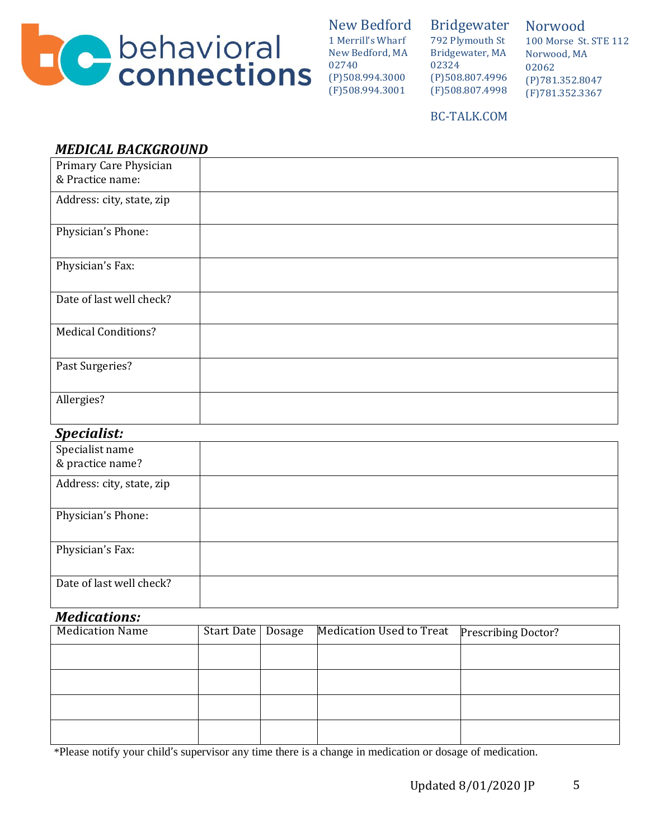

#### Bridgewater 792 Plymouth St Bridgewater, MA 02324 (P)508.807.4996 (F)508.807.4998

Norwood 100 Morse St. STE 112 Norwood, MA 02062 (P)781.352.8047 (F)781.352.3367

### BC-TALK.COM

## *MEDICAL BACKGROUND*

| Primary Care Physician     |  |
|----------------------------|--|
| & Practice name:           |  |
| Address: city, state, zip  |  |
| Physician's Phone:         |  |
| Physician's Fax:           |  |
| Date of last well check?   |  |
| <b>Medical Conditions?</b> |  |
| Past Surgeries?            |  |
| Allergies?                 |  |

## *Specialist:*

| Specialist name           |  |
|---------------------------|--|
| & practice name?          |  |
| Address: city, state, zip |  |
| Physician's Phone:        |  |
| Physician's Fax:          |  |
| Date of last well check?  |  |

## *Medications:*

| - - <del>- - - - - - -</del> - - - - - |                     |                                                |  |
|----------------------------------------|---------------------|------------------------------------------------|--|
| <b>Medication Name</b>                 | Start Date   Dosage | Medication Used to Treat   Prescribing Doctor? |  |
|                                        |                     |                                                |  |
|                                        |                     |                                                |  |
|                                        |                     |                                                |  |
|                                        |                     |                                                |  |

\*Please notify your child's supervisor any time there is a change in medication or dosage of medication.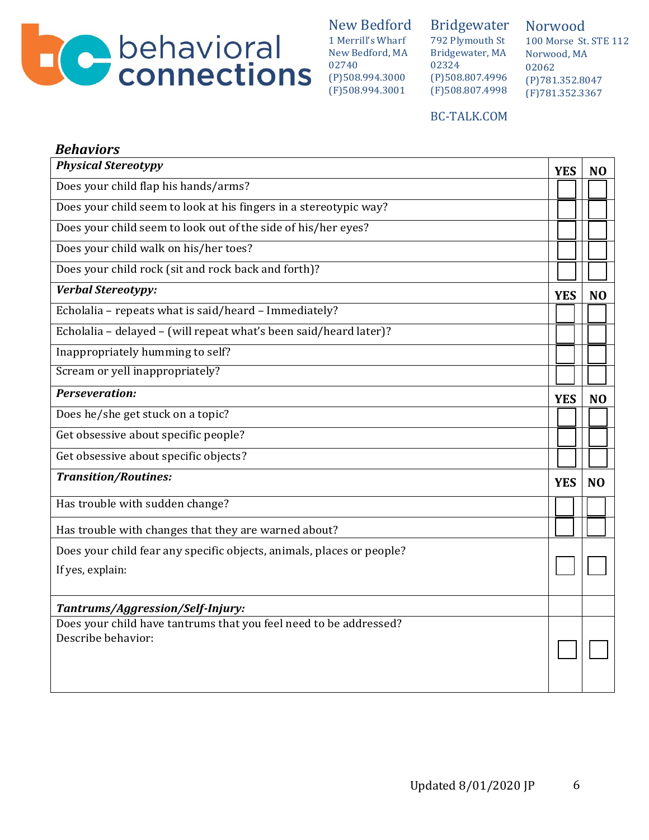

Bridgewater 792 Plymouth St Bridgewater, MA 02324 (P)508.807.4996 (F)508.807.4998

Norwood 100 Morse St. STE 112 Norwood, MA 02062 (P)781.352.8047 (F)781.352.3367

#### BC-TALK.COM

| <b>Behaviors</b>                                                      |            |                |
|-----------------------------------------------------------------------|------------|----------------|
| <b>Physical Stereotypy</b>                                            | <b>YES</b> | N <sub>O</sub> |
| Does your child flap his hands/arms?                                  |            |                |
| Does your child seem to look at his fingers in a stereotypic way?     |            |                |
| Does your child seem to look out of the side of his/her eyes?         |            |                |
| Does your child walk on his/her toes?                                 |            |                |
| Does your child rock (sit and rock back and forth)?                   |            |                |
| <b>Verbal Stereotypy:</b>                                             | <b>YES</b> | N <sub>O</sub> |
| Echolalia - repeats what is said/heard - Immediately?                 |            |                |
| Echolalia - delayed - (will repeat what's been said/heard later)?     |            |                |
| Inappropriately humming to self?                                      |            |                |
| Scream or yell inappropriately?                                       |            |                |
| Perseveration:                                                        | <b>YES</b> | N <sub>O</sub> |
| Does he/she get stuck on a topic?                                     |            |                |
| Get obsessive about specific people?                                  |            |                |
| Get obsessive about specific objects?                                 |            |                |
| <b>Transition/Routines:</b>                                           | <b>YES</b> | N <sub>O</sub> |
| Has trouble with sudden change?                                       |            |                |
| Has trouble with changes that they are warned about?                  |            |                |
| Does your child fear any specific objects, animals, places or people? |            |                |
| If yes, explain:                                                      |            |                |
|                                                                       |            |                |
| Tantrums/Aggression/Self-Injury:                                      |            |                |
| Does your child have tantrums that you feel need to be addressed?     |            |                |
| Describe behavior:                                                    |            |                |
|                                                                       |            |                |
|                                                                       |            |                |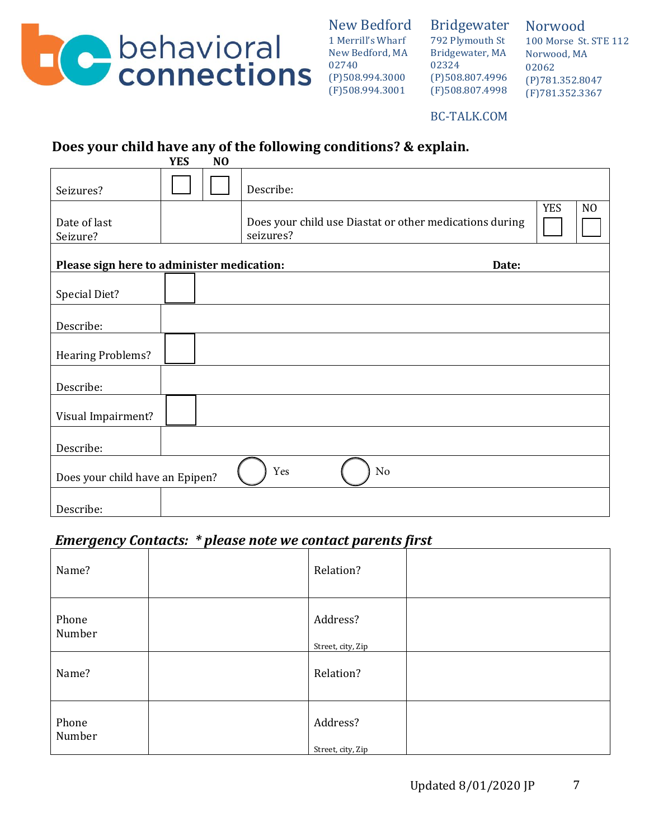

Bridgewater 792 Plymouth St Bridgewater, MA 02324 (P)508.807.4996 (F)508.807.4998

Norwood 100 Morse St. STE 112 Norwood, MA 02062 (P)781.352.8047 (F)781.352.3367

BC-TALK.COM

# **Does your child have any of the following conditions? & explain.**

|                                            | <b>YES</b> | N <sub>O</sub> |                                                                      |            |                |
|--------------------------------------------|------------|----------------|----------------------------------------------------------------------|------------|----------------|
| Seizures?                                  |            |                | Describe:                                                            |            |                |
| Date of last<br>Seizure?                   |            |                | Does your child use Diastat or other medications during<br>seizures? | <b>YES</b> | N <sub>O</sub> |
| Please sign here to administer medication: |            |                | Date:                                                                |            |                |
| Special Diet?                              |            |                |                                                                      |            |                |
| Describe:                                  |            |                |                                                                      |            |                |
| <b>Hearing Problems?</b>                   |            |                |                                                                      |            |                |
| Describe:                                  |            |                |                                                                      |            |                |
| Visual Impairment?                         |            |                |                                                                      |            |                |
| Describe:                                  |            |                |                                                                      |            |                |
| Does your child have an Epipen?            |            |                | Yes<br>No                                                            |            |                |
| Describe:                                  |            |                |                                                                      |            |                |

## *Emergency Contacts: \* please note we contact parents first*

| Name?           | Relation?                     |  |
|-----------------|-------------------------------|--|
| Phone<br>Number | Address?<br>Street, city, Zip |  |
| Name?           | Relation?                     |  |
| Phone<br>Number | Address?<br>Street, city, Zip |  |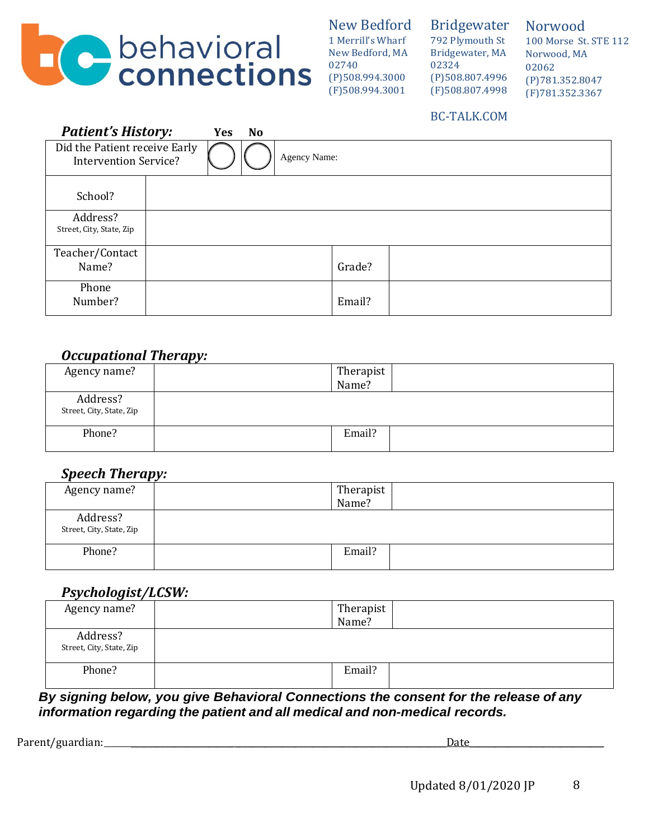

Bridgewater 792 Plymouth St Bridgewater, MA 02324 (P)508.807.4996 (F)508.807.4998

Norwood 100 Morse St. STE 112 Norwood, MA 02062 (P)781.352.8047 (F)781.352.3367

### BC-TALK.COM

| <b>Patient's History:</b>                                     | <b>Yes</b> | <b>No</b> |              |        |  |
|---------------------------------------------------------------|------------|-----------|--------------|--------|--|
| Did the Patient receive Early<br><b>Intervention Service?</b> |            |           | Agency Name: |        |  |
| School?                                                       |            |           |              |        |  |
| Address?<br>Street, City, State, Zip                          |            |           |              |        |  |
| Teacher/Contact<br>Name?                                      |            |           |              | Grade? |  |
| Phone<br>Number?                                              |            |           |              | Email? |  |

### *Occupational Therapy:*

| Agency name?                         | . . | Therapist<br>Name? |  |
|--------------------------------------|-----|--------------------|--|
| Address?<br>Street, City, State, Zip |     |                    |  |
| Phone?                               |     | Email?             |  |

## *Speech Therapy:*

| . .                                  |           |
|--------------------------------------|-----------|
| Agency name?                         | Therapist |
|                                      | Name?     |
| Address?<br>Street, City, State, Zip |           |
| Phone?                               | Email?    |

## *Psychologist/LCSW:*

| Agency name?                         | Therapist<br>Name? |
|--------------------------------------|--------------------|
| Address?<br>Street, City, State, Zip |                    |
| Phone?                               | Email?             |

*By signing below, you give Behavioral Connections the consent for the release of any information regarding the patient and all medical and non-medical records.*

Parent/guardian: \_\_\_\_\_\_\_\_\_\_\_\_\_\_\_\_\_\_\_\_\_\_\_\_\_\_\_\_\_\_\_\_\_\_\_\_\_\_\_\_\_\_\_\_\_\_\_\_\_\_\_\_\_\_\_\_\_\_\_\_\_\_\_\_\_\_\_\_\_\_\_\_\_Date\_\_\_\_\_\_\_\_\_\_\_\_\_\_\_\_\_\_\_\_\_\_\_\_\_\_\_\_\_\_\_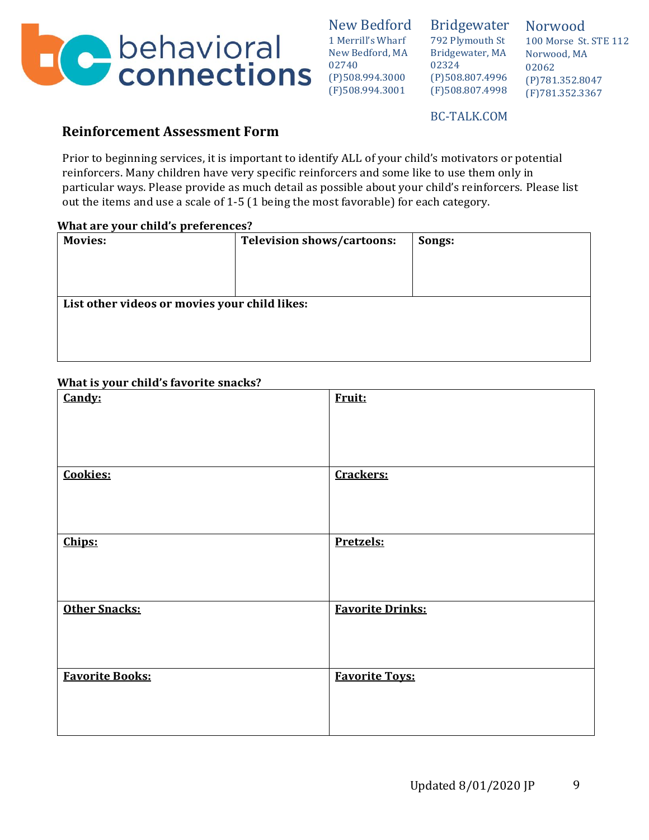

Bridgewater 792 Plymouth St Bridgewater, MA 02324 (P)508.807.4996 (F)508.807.4998

Norwood 100 Morse St. STE 112 Norwood, MA 02062 (P)781.352.8047 (F)781.352.3367

BC-TALK.COM

### **Reinforcement Assessment Form**

Prior to beginning services, it is important to identify ALL of your child's motivators or potential reinforcers. Many children have very specific reinforcers and some like to use them only in particular ways. Please provide as much detail as possible about your child's reinforcers. Please list out the items and use a scale of 1-5 (1 being the most favorable) for each category.

#### **What are your child's preferences?**

| <b>Movies:</b>                                | <b>Television shows/cartoons:</b> | Songs: |
|-----------------------------------------------|-----------------------------------|--------|
|                                               |                                   |        |
|                                               |                                   |        |
|                                               |                                   |        |
| List other videos or movies your child likes: |                                   |        |
|                                               |                                   |        |
|                                               |                                   |        |
|                                               |                                   |        |
|                                               |                                   |        |

#### **What is your child's favorite snacks?**

| Candy:                 | Fruit:                  |
|------------------------|-------------------------|
| <b>Cookies:</b>        | Crackers:               |
| Chips:                 | Pretzels:               |
| <b>Other Snacks:</b>   | <b>Favorite Drinks:</b> |
| <b>Favorite Books:</b> | <b>Favorite Toys:</b>   |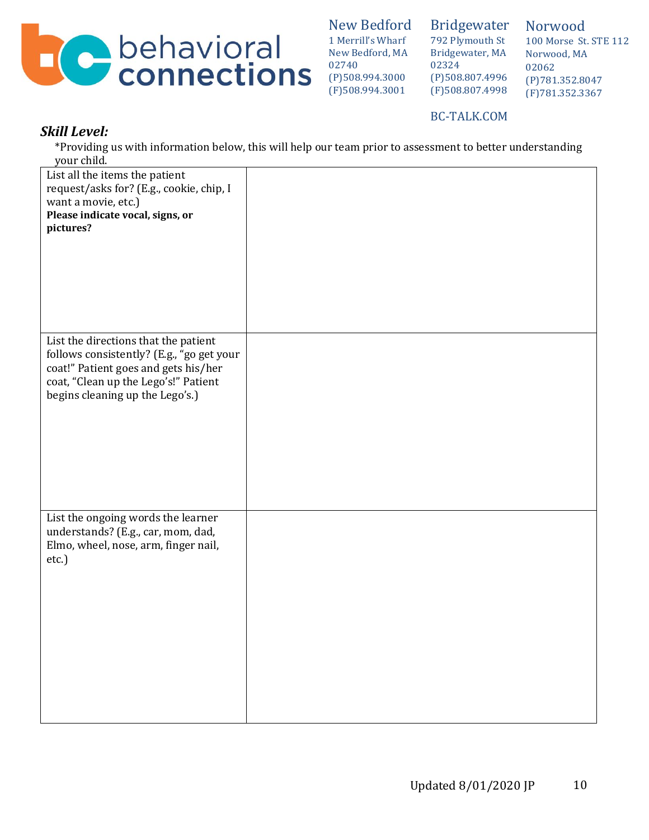

Bridgewater 792 Plymouth St Bridgewater, MA 02324 (P)508.807.4996 (F)508.807.4998

Norwood 100 Morse St. STE 112 Norwood, MA 02062 (P)781.352.8047 (F)781.352.3367

#### BC-TALK.COM

### *Skill Level:*

\*Providing us with information below, this will help our team prior to assessment to better understanding your child.

| List all the items the patient<br>request/asks for? (E.g., cookie, chip, I<br>want a movie, etc.)<br>Please indicate vocal, signs, or<br>pictures?                                                   |  |
|------------------------------------------------------------------------------------------------------------------------------------------------------------------------------------------------------|--|
| List the directions that the patient<br>follows consistently? (E.g., "go get your<br>coat!" Patient goes and gets his/her<br>coat, "Clean up the Lego's!" Patient<br>begins cleaning up the Lego's.) |  |
| List the ongoing words the learner<br>understands? (E.g., car, mom, dad,<br>Elmo, wheel, nose, arm, finger nail,<br>etc.)                                                                            |  |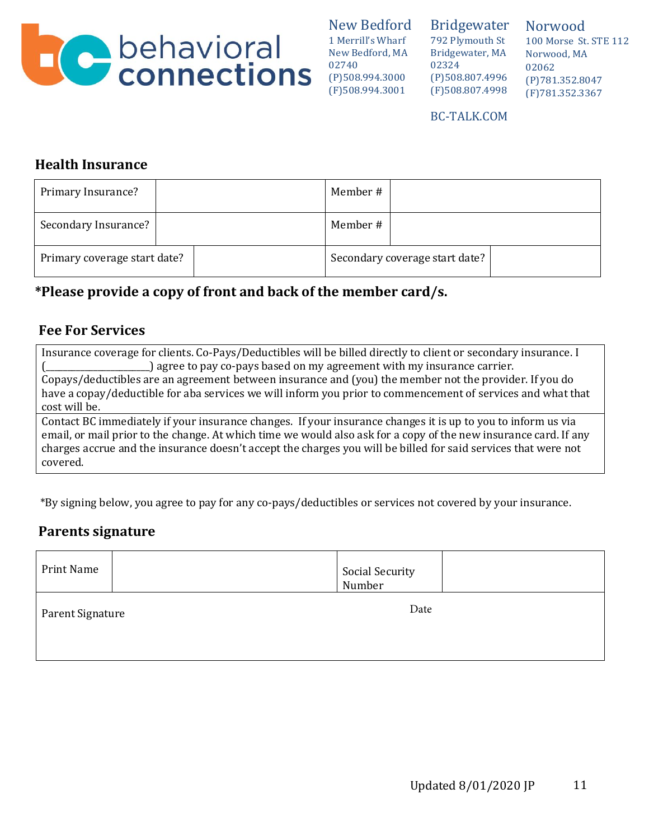

Bridgewater 792 Plymouth St Bridgewater, MA 02324 (P)508.807.4996 (F)508.807.4998

Norwood 100 Morse St. STE 112 Norwood, MA 02062 (P)781.352.8047 (F)781.352.3367

#### BC-TALK.COM

## **Health Insurance**

| Primary Insurance?           | Member #                       |
|------------------------------|--------------------------------|
| Secondary Insurance?         | Member #                       |
| Primary coverage start date? | Secondary coverage start date? |

# **\*Please provide a copy of front and back of the member card/s.**

## **Fee For Services**

Insurance coverage for clients. Co-Pays/Deductibles will be billed directly to client or secondary insurance. I (\_\_\_\_\_\_\_\_\_\_\_\_\_\_\_\_\_\_\_\_\_\_\_\_) agree to pay co-pays based on my agreement with my insurance carrier.

Copays/deductibles are an agreement between insurance and (you) the member not the provider. If you do have a copay/deductible for aba services we will inform you prior to commencement of services and what that cost will be.

Contact BC immediately if your insurance changes. If your insurance changes it is up to you to inform us via email, or mail prior to the change. At which time we would also ask for a copy of the new insurance card. If any charges accrue and the insurance doesn't accept the charges you will be billed for said services that were not covered.

\*By signing below, you agree to pay for any co-pays/deductibles or services not covered by your insurance.

## **Parents signature**

| Print Name       | Social Security<br>Number |
|------------------|---------------------------|
| Parent Signature | Date                      |
|                  |                           |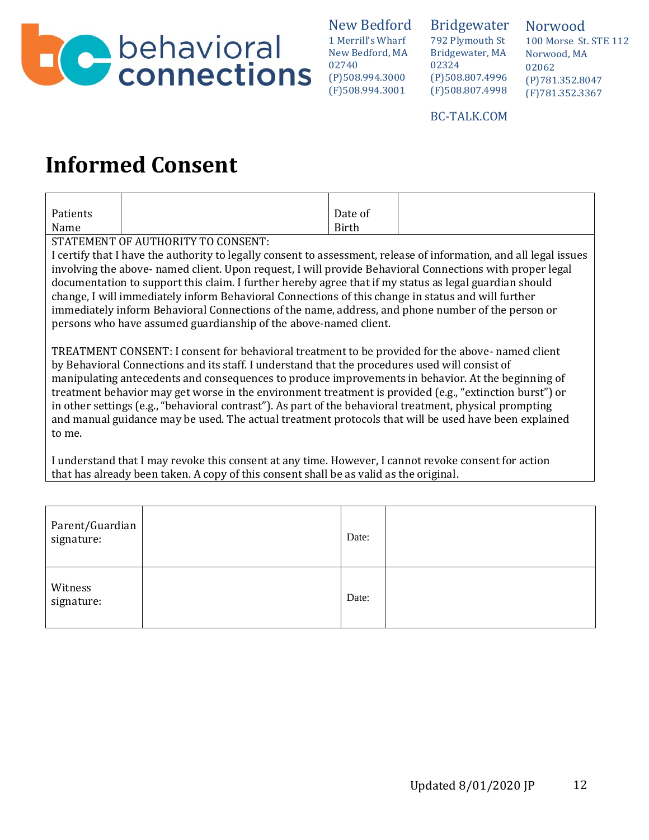

Bridgewater 792 Plymouth St Bridgewater, MA 02324 (P)508.807.4996 (F)508.807.4998

Norwood 100 Morse St. STE 112 Norwood, MA 02062 (P)781.352.8047 (F)781.352.3367

BC-TALK.COM

# **Informed Consent**

| Patients | Date of      |
|----------|--------------|
| Name     | <b>Birth</b> |

STATEMENT OF AUTHORITY TO CONSENT:

I certify that I have the authority to legally consent to assessment, release of information, and all legal issues involving the above- named client. Upon request, I will provide Behavioral Connections with proper legal documentation to support this claim. I further hereby agree that if my status as legal guardian should change, I will immediately inform Behavioral Connections of this change in status and will further immediately inform Behavioral Connections of the name, address, and phone number of the person or persons who have assumed guardianship of the above-named client.

TREATMENT CONSENT: I consent for behavioral treatment to be provided for the above- named client by Behavioral Connections and its staff. I understand that the procedures used will consist of manipulating antecedents and consequences to produce improvements in behavior. At the beginning of treatment behavior may get worse in the environment treatment is provided (e.g., "extinction burst") or in other settings (e.g., "behavioral contrast"). As part of the behavioral treatment, physical prompting and manual guidance may be used. The actual treatment protocols that will be used have been explained to me.

I understand that I may revoke this consent at any time. However, I cannot revoke consent for action that has already been taken. A copy of this consent shall be as valid as the original.

| Parent/Guardian<br>signature: | Date: |  |
|-------------------------------|-------|--|
| Witness<br>signature:         | Date: |  |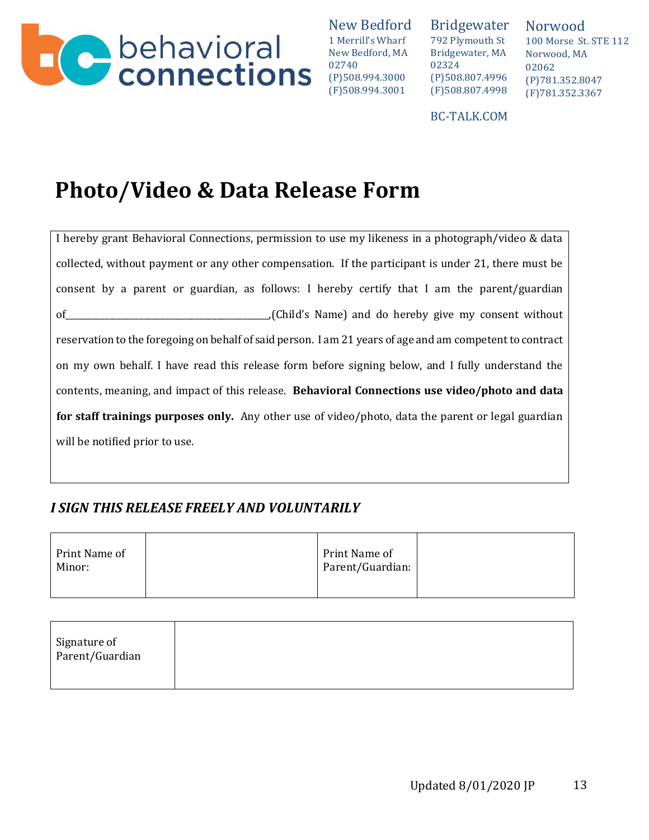

Bridgewater 792 Plymouth St Bridgewater, MA 02324 (P)508.807.4996 (F)508.807.4998

Norwood 100 Morse St. STE 112 Norwood, MA 02062 (P)781.352.8047 (F)781.352.3367

BC-TALK.COM

# **Photo/Video & Data Release Form**

I hereby grant Behavioral Connections, permission to use my likeness in a photograph/video & data collected, without payment or any other compensation. If the participant is under 21, there must be consent by a parent or guardian, as follows: I hereby certify that I am the parent/guardian of\_\_\_\_\_\_\_\_\_\_\_\_\_\_\_\_\_\_\_\_\_\_\_\_\_\_\_\_\_\_\_\_\_\_\_\_\_\_\_\_\_\_\_\_\_\_\_,(Child's Name) and do hereby give my consent without reservation to the foregoing on behalf of said person. I am 21 years of age and am competent to contract on my own behalf. I have read this release form before signing below, and I fully understand the contents, meaning, and impact of this release. **Behavioral Connections use video/photo and data for staff trainings purposes only.** Any other use of video/photo, data the parent or legal guardian will be notified prior to use.

# *I SIGN THIS RELEASE FREELY AND VOLUNTARILY*

| Print Name of<br>Minor: | Print Name of<br>Parent/Guardian: |  |
|-------------------------|-----------------------------------|--|
|-------------------------|-----------------------------------|--|

| Signature of<br>Parent/Guardian |  |  |
|---------------------------------|--|--|
|                                 |  |  |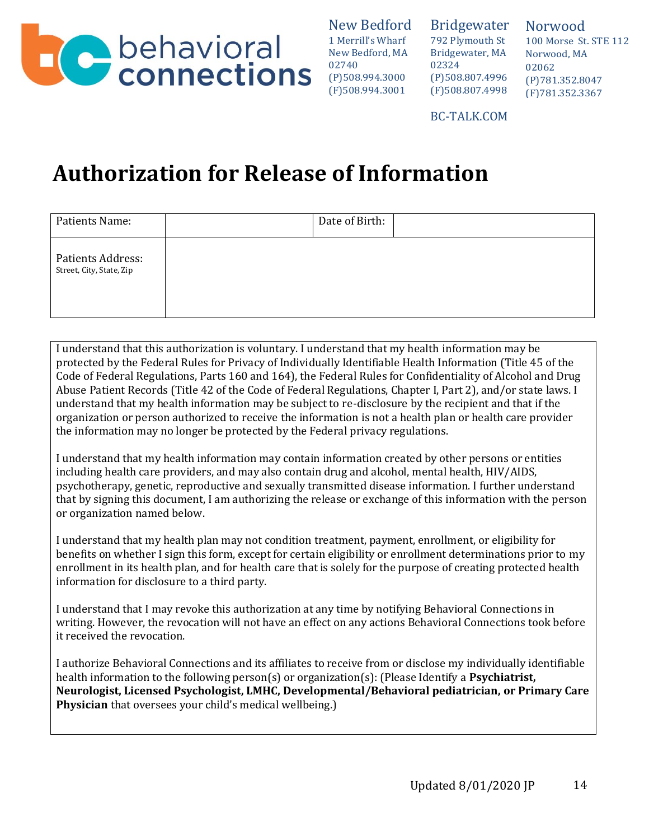

Bridgewater 792 Plymouth St Bridgewater, MA 02324 (P)508.807.4996 (F)508.807.4998 Norwood 100 Morse St. STE 112 Norwood, MA 02062 (P)781.352.8047 (F)781.352.3367

BC-TALK.COM

# **Authorization for Release of Information**

| Patients Name:                                | Date of Birth: |  |
|-----------------------------------------------|----------------|--|
| Patients Address:<br>Street, City, State, Zip |                |  |

I understand that this authorization is voluntary. I understand that my health information may be protected by the Federal Rules for Privacy of Individually Identifiable Health Information (Title 45 of the Code of Federal Regulations, Parts 160 and 164), the Federal Rules for Confidentiality of Alcohol and Drug Abuse Patient Records (Title 42 of the Code of Federal Regulations, Chapter I, Part 2), and/or state laws. I understand that my health information may be subject to re-disclosure by the recipient and that if the organization or person authorized to receive the information is not a health plan or health care provider the information may no longer be protected by the Federal privacy regulations.

I understand that my health information may contain information created by other persons or entities including health care providers, and may also contain drug and alcohol, mental health, HIV/AIDS, psychotherapy, genetic, reproductive and sexually transmitted disease information. I further understand that by signing this document, I am authorizing the release or exchange of this information with the person or organization named below.

I understand that my health plan may not condition treatment, payment, enrollment, or eligibility for benefits on whether I sign this form, except for certain eligibility or enrollment determinations prior to my enrollment in its health plan, and for health care that is solely for the purpose of creating protected health information for disclosure to a third party.

I understand that I may revoke this authorization at any time by notifying Behavioral Connections in writing. However, the revocation will not have an effect on any actions Behavioral Connections took before it received the revocation.

I authorize Behavioral Connections and its affiliates to receive from or disclose my individually identifiable health information to the following person(s) or organization(s): (Please Identify a **Psychiatrist, Neurologist, Licensed Psychologist, LMHC, Developmental/Behavioral pediatrician, or Primary Care Physician** that oversees your child's medical wellbeing.)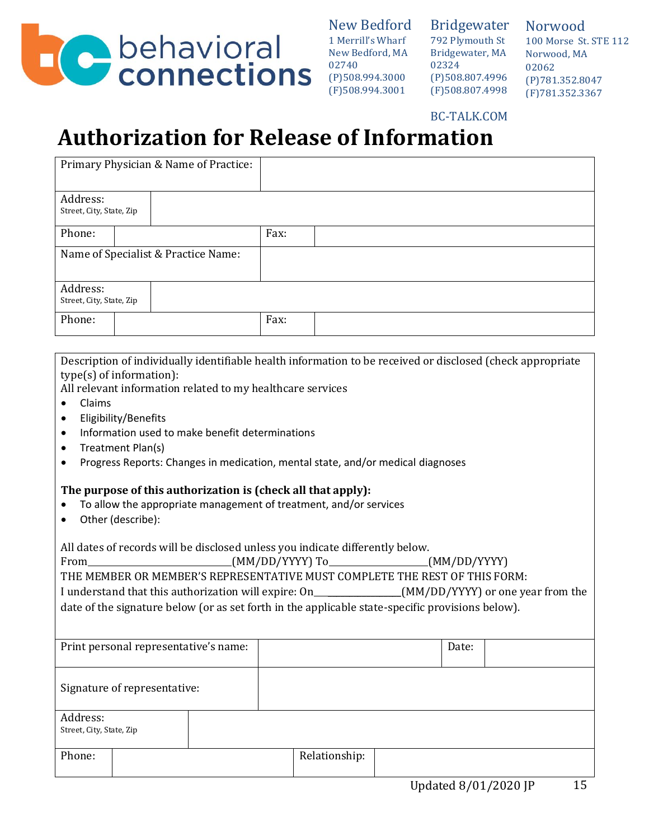

Bridgewater 792 Plymouth St Bridgewater, MA 02324 (P)508.807.4996 (F)508.807.4998

Norwood 100 Morse St. STE 112 Norwood, MA 02062 (P)781.352.8047 (F)781.352.3367

BC-TALK.COM

# **Authorization for Release of Information**

|                                      |  | Primary Physician & Name of Practice: |      |  |
|--------------------------------------|--|---------------------------------------|------|--|
| Address:<br>Street, City, State, Zip |  |                                       |      |  |
| Phone:                               |  |                                       | Fax: |  |
|                                      |  | Name of Specialist & Practice Name:   |      |  |
| Address:<br>Street, City, State, Zip |  |                                       |      |  |
| Phone:                               |  |                                       | Fax: |  |

Description of individually identifiable health information to be received or disclosed (check appropriate type(s) of information):

All relevant information related to my healthcare services

- Claims
- Eligibility/Benefits
- Information used to make benefit determinations
- Treatment Plan(s)
- Progress Reports: Changes in medication, mental state, and/or medical diagnoses

#### **The purpose of this authorization is (check all that apply):**

- To allow the appropriate management of treatment, and/or services
- Other (describe):

All dates of records will be disclosed unless you indicate differently below.

From (MM/DD/YYYY) To (MM/DD/YYYY) To (MM/DD/YYYY) THE MEMBER OR MEMBER'S REPRESENTATIVE MUST COMPLETE THE REST OF THIS FORM: I understand that this authorization will expire: On \_\_\_\_\_\_\_\_\_\_\_\_\_\_\_\_\_(MM/DD/YYYY) or one year from the date of the signature below (or as set forth in the applicable state-specific provisions below).

| Print personal representative's name: |                              |  | Date:         |  |  |
|---------------------------------------|------------------------------|--|---------------|--|--|
|                                       | Signature of representative: |  |               |  |  |
| Address:<br>Street, City, State, Zip  |                              |  |               |  |  |
| Phone:                                |                              |  | Relationship: |  |  |